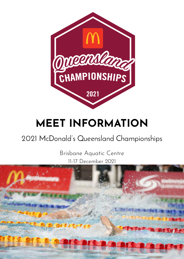

# **MEET INFORMATION**

# 2021 McDonald's Queensland Championships

11-17 December 2021 Brisbane Aquatic Centre

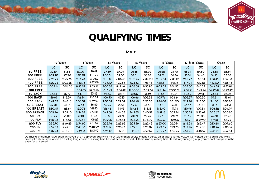

## **QUALIFYING TIMES**

### Male

|                   |           | 12 Years  |           | 13 Years  |          | 14 Years  |          | 15 Years  | 16 Years |           |          | 17 & 18 Years |          | Open      |
|-------------------|-----------|-----------|-----------|-----------|----------|-----------|----------|-----------|----------|-----------|----------|---------------|----------|-----------|
|                   | <b>LC</b> | <b>SC</b> | <b>LC</b> | <b>SC</b> | LC       | <b>SC</b> | LC       | <b>SC</b> | LC       | <b>SC</b> | LC       | <b>SC</b>     | LC       | <b>SC</b> |
| 50 FREE           | 32.19     | 31.55     | 29.07     | 28.49     | 27.59    | 27.04     | 26.45    | 25.92     | 26.22    | 25.70     | 25.31    | 24.80         | 24.38    | 23.89     |
| <b>100 FREE</b>   | 1:09.20   | 1:07.82   | 1:03.01   | 1:01.75   | 1:00.51  | 59.30     | 58.01    | 56.85     | 57.51    | 56.36     | 55.51    | 54.40         | 54.13    | 53.05     |
| <b>200 FREE</b>   | 2:28.73   | 2:25.76   | 2:13.28   | 2:10.62   | 2:11.10  | 2:08.48   | 2:06.73  | 2:04.20   | 2:05.64  | 2:03.12   | 2:01.27  | 1:58.84       | 1:58.45  | 1:56.08   |
| <b>400 FREE</b>   | 5:09.75   | 5:03.56   | 4:42.73   | 4:37.08   | 4:38.10  | 4:32.54   | 4:28.83  | 4:23.45   | 4:26.51  | 4:21.18   | 4:17.24  | 4:12.10       | 4:13.50  | 4:08.43   |
| <b>800 FREE</b>   | 10:39.14  | 10:26.36  | 9:45.27   | 9:33.57   | 9:30.88  | 9:19.46   | 9:06.89  | 8:55.95   | 9:02.09  | 8:51.25   | 8:52.50  | 8:41.85       | 8:44.29  | 8:33.81   |
| <b>1500 FREE</b>  |           |           | 18:34.85  | 18:12.55  | 18:16.42 | 17:54.49  | 17:30.35 | 17:09.34  | 17:21.14 | 17:00.31  | 17:02.71 | 16:42.26      | 16:42.47 | 16:22.42  |
| <b>50 BACK</b>    | 37.54     | 36.79     | 34.11     | 33.43     | 32.83    | 32.17     | 32.06    | 31.42     | 31.54    | 30.91     | 30.52    | 29.91         | 28.64    | 28.07     |
| 100 BACK          | 1:19.89   | 1:18.29   | 1:12.34   | 1:10.89   | 1:08.50  | 1:07.13   | 1:06.86  | 1:05.52   | 1:05.76  | 1:04.44   | 1:03.57  | 1:02.30       | 59.81    | 58.61     |
| <b>200 BACK</b>   | 2:49.57   | 2:46.18   | 2:36.09   | 2:32.97   | 2:30.09  | 2:27.09   | 2:26.49  | 2:23.56   | 2:24.08  | 2:21.20   | 2:19.28  | 2:16.50       | 2:11.33  | 2:08.70   |
| <b>50 BREAST</b>  | 42.01     | 41.17     | 37.64     | 36.89     | 36.23    | 35.51     | 35.37    | 34.66     | 34.81    | 34.11     | 33.67    | 33.00         | 31.13    | 30.51     |
| <b>100 BREAST</b> | 1:30.45   | 1:28.64   | 1:20.74   | 1:19.13   | 1:16.46  | 1:14.93   | 1:14.63  | 1:13.13   | 1:13.40  | 1:11.94   | 1:10.96  | .09.54        | 1:06.32  | 1:04.99   |
| 200 BREAST        | 3:12.96   | 3:09.10   | 2:54.59   | 2:51.10   | 2:47.88  | 2:44.52   | 2:43.85  | 2:40.57   | 2:41.16  | 2:37.94   | 2:35.79  | 2:32.67       | 2:23.67  | 2:20.80   |
| <b>50 FLY</b>     | 35.73     | 35.02     | 32.01     | 31.37     | 30.81    | 30.19     | 30.09    | 29.49     | 29.61    | 29.02     | 28.65    | 28.08         | 26.80    | 26.26     |
| <b>100 FLY</b>    | 1:20.08   | 1:18.48   | 1:09.66   | 1:08.27   | 1:05.96  | 1:04.64   | 1:04.38  | 1:03.09   | 1:03.32  | 1:02.06   | 1:01.21  | 0:59.99       | 57.90    | 56.75     |
| <b>200 FLY</b>    | 2:52.70   | 2:49.25   | 2:34.92   | 2:31.82   | 2:28.96  | 2:25.98   | 2:25.39  | 2:22.48   | 2:23.00  | 2:20.14   | 2:18.24  | 2:15.47       | 2:10.20  | 2:07.60   |
| <b>200 IM</b>     | 2:52.53   | 2:49.81   | 2:43.36   | 2:40.92   | 2:31.17  | 2:28.73   | 2:27.51  | 2:25.07   | 2:22.63  | 2:19.78   | 2:17.76  | 2:15.00       | 2:10.96  | 2:08.34   |
| 400 IM            | 6:07.44   | 6:01.70   | 5:49.18   | 5:43.97   | 5:23.12  | 5:17.91   | 5:15.30  | 4:59.67   | 5:02.27  | 4:56.23   | 4:54.46  | 4:48.57       | 4:43.21  | 4:37.54   |

*Qualifying times must have been achieved at an approved qualifying meet (either short course or long course) on or after 1 January 2020. Converted short course qualifying times will only be used where an existing long course qualifying time has not been achieved. If there is no qualifying time stated for your age group, you cannot compete in the event/s concerned.*







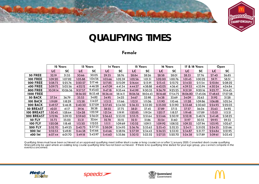

# **QUALIFYING TIMES**

### Female

|                   |          | 12 Years  |          | 13 Years  |          | 14 Years  |          | 15 Years  | 16 Years |           |          | 17 & 18 Years |          | Open      |
|-------------------|----------|-----------|----------|-----------|----------|-----------|----------|-----------|----------|-----------|----------|---------------|----------|-----------|
|                   | LC.      | <b>SC</b> | LC       | <b>SC</b> | LC       | <b>SC</b> | LC       | <b>SC</b> | LC       | <b>SC</b> | LC       | <b>SC</b>     | LC       | <b>SC</b> |
| 50 FREE           | 32.19    | 31.55     | 30.66    | 30.05     | 29.35    | 28.76     | 28.84    | 28.26     | 28.58    | 28.01     | 28.33    | 27.76         | 27.40    | 26.85     |
| <b>100 FREE</b>   | 1:09.20  | 1:07.82   | 1:05.88  | 1:04.56   | 1:03.66  | 1:02.39   | 1:02.56  | 1:01.31   | 1:02.00  | 1:00.76   | 1:01.45  | 1:00.22       | 59.71    | 58.51     |
| <b>200 FREE</b>   | 2:28.73  | 2:25.76   | 2:20.27  | 2:17.46   | 2:17.85  | 2:15.09   | 2:16.64  | 2:13.91   | 2:15.43  | 2:12.72   | 2:14.22  | 2:11.54       | 2:10.84  | 2:08.22   |
| <b>400 FREE</b>   | 5:09.75  | 5:03.56   | 4:52.12  | 4:46.28   | 4:47.09  | 4:41.34   | 4:44.57  | 4:38.88   | 4:42.05  | 4:36.41   | 4:39.53  | 4:33.94       | 4:30.24  | 4:24.84   |
| <b>800 FREE</b>   | 10:39.14 | 10:26.36  | 9:57.57  | 9:45.62   | 9:47.18  | 9:35.44   | 9:41.99  | 9:30.35   | 9:36.79  | 9:25.25   | 9:31.59  | 9:20.16       | 9:25.77  | 9:14.45   |
| <b>1500 FREE</b>  |          |           | 18:56.20 | 18:33.48  | 18:36.44 | 18:14.11  | 18:26.56 | 18:04.43  | 18:16.68 | 17:54.75  | 18:06.80 | 17:45.06      | 17:48.65 | 17:27.28  |
| <b>50 BACK</b>    | 37.54    | 36.79     | 35.53    | 34.82     | 34.95    | 34.25     | 34.67    | 33.98     | 34.38    | 33.69     | 34.09    | 32.63         | 31.92    | 31.28     |
| <b>100 BACK</b>   | 1:19.89  | 1:18.29   | 1:15.58  | 1:14.07   | 1:13.13  | 1:11.66   | 1:12.51  | 1:11.06   | 1:11.90  | 1:10.46   | 1:11.28  | 1:09.86       | 1:06.88  | 1:05.54   |
| <b>200 BACK</b>   | 2:49.57  | 2:46.18   | 2:40.30  | 2:37.09   | 2:37.65  | 2:34.50   | 2:36.33  | 2:33.20   | 2:35.00  | 2:31.90   | 2:33.68  | 2:30.60       | 2:24.93  | 2:22.03   |
| <b>50 BREAST</b>  | 42.01    | 41.17     | 39.16    | 38.38     | 38.52    | 37.75     | 38.21    | 37.45     | 37.89    | 37.13     | 37.57    | 36.04         | 35.63    | 34.92     |
| <b>100 BREAST</b> | 1:30.45  | 1:28.64   | 1:24.28  | 1:22.59   | 1:21.54  | 1:19.91   | 1:20.85  | 1:19.24   | 1:20.17  | 1:18.57   | 1:19.48  | 1:17.89       | 1:15.01  | 1:13.51   |
| 200 BREAST        | 3:12.96  | 3:09.10   | 2:59.60  | 2:56.01   | 2:56.63  | 2:53.10   | 2:55.15  | 2:51.64   | 2:53.66  | 2:50.19   | 2:52.18  | 2:48.74       | 2:41.48  | 2:38.25   |
| 50 FLY            | 35.73    | 35.02     | 33.31    | 32.64     | 32.78    | 32.12     | 32.51    | 31.86     | 32.24    | 31.60     | 31.97    | 30.55         | 29.93    | 29.33     |
| <b>100 FLY</b>    | 1:20.08  | 1:18.48   | 1:13.50  | 1:12.03   | 1:11.11  | 1:09.69   | 1:10.52  | 1:09.11   | 1:09.92  | 1:08.52   | 1:09.32  | 1:07.94       | 1:03.95  | 1:02.67   |
| <b>200 FLY</b>    | 2:52.70  | 2:49.25   | 2:40.75  | 2:37.53   | 2:38.09  | 2:34.93   | 2:36.76  | 2:33.63   | 2:35.43  | 2:32.33   | 2:34.11  | 2:31.02       | 2:24.55  | 2:21.66   |
| 200 IM            | 2:52.53  | 2:49.81   | 2:44.38  | 2:41.66   | 2:41.66  | 2:38.94   | 2:37.59  | 2:34.43   | 2:36.23  | 2:33.10   | 2:34.87  | 2:31.77       | 2:24.84  | 2:21.95   |
| 400 IM            | 6:07.44  | 6:01.70   | 5:49.18  | 5:43.97   | 5:41.60  | 5:35.86   | 5:30.12  | 5:23.52   | 5:27.25  | 5:20.70   | 5:24.38  | 5:17.89       | 5:09.61  | 5:03.42   |

*Qualifying times must have been achieved at an approved qualifying meet (either short course or long course) on or after 1 January 2020. Converted short course qualifying times will only be used where an existing long course qualifying time has not been achieved. If there is no qualifying time stated for your age group, you cannot compete in the event/s concerned.*







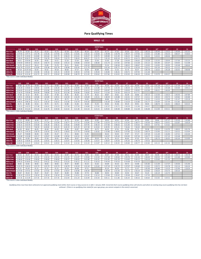

**MALE ‐ LC**

|                   |                 |            |                 |            |            |            |            |            | <b>12/14 Years</b> |                |         |         |                |         |         |         |                |           |
|-------------------|-----------------|------------|-----------------|------------|------------|------------|------------|------------|--------------------|----------------|---------|---------|----------------|---------|---------|---------|----------------|-----------|
|                   | S <sub>19</sub> | <b>S18</b> | S <sub>16</sub> | <b>S15</b> | <b>S14</b> | <b>S13</b> | <b>S12</b> | <b>S11</b> | <b>S10</b>         | S <sub>9</sub> | S8      | S7      | S <sub>6</sub> | S5      | $S4*$   | $S3*$   | S <sub>2</sub> | <b>S1</b> |
| 50m Free          | 45.76           | 50.34      | 45.14           | 43.33      | 45.76      | 42.58      | 41.69      | 46.34      | 42.59              | 45.75          | 47.65   | 50.03   | 53.31          | 1:00.16 | 1:09.40 | 1:19.52 | 1:49.99        | 2:01.01   |
| 100m Free         | 1:37.92         | 1:47.71    | 1:41.78         | 1:35.26    | 1:37.92    | 1:34.01    | 1:31.81    | 1:42.22    | 1:32.63            | 1:39.48        | 1:43.78 | 1:49.37 | 1:57.65        | 2:10.42 | 2:31.80 | 2:56.33 | 4:00.37        | 4:18.63   |
| 200m Free         | 3:01.75         | 3:19.92    | 3:24.80         | 3:01.64    | 3:01.75    | 2:58.23    | 2:51.61    | 3:20.27    | 2:59.75            | 3:09.89        | 3:21.49 | 3:36.22 | 3:46.81        | 4:36.34 | 5:24.52 | 6:08.46 |                |           |
| 400m Free         | 7:49.43         | 8:36.37    | 9:43.48         | 7:56.78    | 7:49.43    | 7:22.73    | 7:28.43    | 8:04.37    | 7:21.71            | 7:45.33        | 8:03.18 | 8:39.72 | 8:54.73        |         |         |         |                |           |
| 50m Back          | 54.51           | 3:50.40    | 56.95           | 49.81      | 54.51      | 52.26      | 52.64      | 58.83      | 52.46              | 55.40          | 57.38   | 1:04.04 | 1:06.63        | 1:10.28 | 1:23.35 | 1:28.44 | 1:57.00        | 2:25.23   |
| 100m Back         | 1:53.02         | 2:04.32    | 2:02.25         | 1:46.73    | 1:53.02    | 1:45.15    | 1:44.86    | 1:54.54    | 1:48.36            | 1:51.73        | 1:57.65 | 2:07.66 | 2:13.28        | 2:31.12 | 3:01.90 | 3:25.07 | 3:59.05        | 5:12.08   |
| <b>50m Breast</b> | 55.70           | 1:01.27    | 58.12           | 52.85      | 55.70      | 56.51      | 58.65      | 1:02.33    |                    | 55.24          | 1:00.36 | 1:08.52 | 1:08.67        | 1:19.92 | 1:24.95 | 1:30.95 | 1:43.48        | 2:48.44   |
| 100m Breast       | 2:02.79         | 2:15.07    | 2:10.09         | 1:50.38    | 2:02.79    | 1:58.98    | 2:02.45    | 2:11.79    |                    | 2:01.92        | 2:05.71 | 2:27.16 | 2:32.54        | 2:54.11 | 3:01.34 | 3:30.32 | 4:12.22        |           |
| 50m Fly           | 49.18           | 21:07.20   | 50.45           | 45.61      | 49.18      | 48.66      | 47.57      | 50.39      | 46.89              | 49.95          | 51.52   | 55.73   | 56.57          | 1:05.78 | 1:18.25 | 1:45.28 | 2:26.42        | 3:48.48   |
| 100m Fly          | 1:45.15         | 1:55.67    | 1:52.96         | 1:39.16    | 1:45.15    | 1:39.59    | 1:39.54    | 1:47.65    | 1:39.43            | 1:44.85        | 1:46.41 | 2:04.71 | 2:07.05        | 2:21.48 |         |         |                |           |
| 200m IM           | 3:59.42         | 4:23.36    | 4:32.75         | 3:45.72    | 3:59.42    | 3:49.98    | 3:48.79    | 4:11.45    | 3:50.62            | 3:57.66        | 4:10.01 | 4:33.50 | 4:46.34        | 5:20.44 | 5:19.70 | 6:04.27 |                |           |

*\*This event is 150m Individual Medley*

|                      |                 |            |                 |            |            |            |            |            | <b>15/16 Years</b> |                |         |           |         |         |         |                 |         |         |
|----------------------|-----------------|------------|-----------------|------------|------------|------------|------------|------------|--------------------|----------------|---------|-----------|---------|---------|---------|-----------------|---------|---------|
|                      |                 |            |                 |            |            |            |            |            |                    |                |         |           |         |         |         |                 |         |         |
|                      | S <sub>19</sub> | <b>S18</b> | S <sub>16</sub> | <b>S15</b> | <b>S14</b> | <b>S13</b> | <b>S12</b> | <b>S11</b> | <b>S10</b>         | S <sub>9</sub> | S8      | <b>S7</b> | S6      | S5.     | $S4*$   | S3 <sup>+</sup> | S2      | S1      |
| 50 <sub>m</sub> Free | 39.80           | 43.78      | 39.08           | 37.71      | 39.80      | 37.54      | 36.80      | 40.85      | 37.66              | 40.36          | 42.03   | 44.15     | 46.99   | 53.02   | 1:01.18 | 1:10.17         | 1:37.39 | 1:47.44 |
| 100m Free            | 1:26.20         | 1:34.82    | 1:28.02         | 1:22.95    | 1:26.20    | 1:22.75    | 1:20.99    | 1:30.18    | 1:21.80            | 1:27.74        | 1:31.54 | 1:36.54   | 1:43.75 | 1:55.03 | 2:13.78 | 2:35.68         | 3:33.00 | 3:49.11 |
| 200m Free            | 2:54.03         | 3:11.43    | 3:09.40         | 2:53.96    | 2:54.03    | 2:51.94    | 2:50.75    | 3:14.11    | 2:53.97            | 3:03.87        | 3:14.76 | 3:29.03   | 3:39.92 | 4:22.94 | 5:06.21 | 5:46.04         |         |         |
| 400m Free            | 7:16.33         | 7:59.96    | 8:44.99         | 7:08.80    | 7:16.33    | 6:51.46    | 6:56.86    | 7:30.82    | 6:50.67            | 7:12.64        | 7:29.30 | 8:03.19   | 8:17.71 |         |         |                 |         |         |
| 50m Back             | 47.38           | 52.12      | 49.35           | 43.33      | 47.38      | 45.91      | 46.35      | 51.79      | 46.22              | 48.87          | 50.61   | 56.39     | 58.86   | 1:02.13 | 1:13.50 | 1:18.15         | 1:43.43 | 2:07.89 |
| 100m Back            | 1:39.5          | 1:49.46    | 1:45.86         | 1:32.80    | 1:39.51    | 1:32.50    | 1:32.29    | 1:45.69    | 1:35.51            | 1:38.59        | 1:43.88 | 1:52.41   | 1:57.57 | 2:14.11 | 2:40.54 | 2:59.73         | 3:29.82 | 4:30.88 |
| <b>50m Breast</b>    | 48.54           | 0:53.39    | 50.30           | 45.14      | 48.54      | 49.72      | 51.54      | 54.82      |                    | 48.86          | 53.13   | 1:00.23   | 1:00.33 | 1:10.35 | 1:14.53 | 1:19.99         | 1:31.47 | 2:29.18 |
| 100m Breast          | 1:56.5          | 2:08.16    | 1:52.71         | 1:36.19    | 1:56.51    | 1:53.36    | 1:54.79    | 2:05.56    |                    | 1:56.30        | 1:58.80 | 2:19.24   | 2:25.80 | 2:41.77 | 2:50.99 | 3:37.44         | 4:15.85 |         |
| 50m Flv              | 42.71           | 46.98      | 43.52           | 39.74      | 42.71      | 42.80      | 41.83      | 44.28      | 41.35              | 44.02          | 45.46   | 49.19     | 49.91   | 58.03   | 1:08.74 | 1:32.41         | 2:08.23 | 3:23.15 |
| 100m Flv             | 1:33.23         | 1:42.55    | 1:37.48         | 1:26.41    | 1:33.23    | 1:27.58    | 1:27.59    | 1:34.80    | 1:27.65            | 1:32.37        | 1:33.71 | 1:50.29   | 1:51.96 | 2:04.27 |         |                 |         |         |
| 200m IM              | 3:30.58         | 3:51.64    | 3:55.20         | 3:16.76    | 3:30.58    | 3:22.42    | 3:21.38    | 3:41.54    | 3:23.15            | 3:29.65        | 3:40.48 | 4:00.88   | 4:12.38 | 4:36.48 | 4:12.00 | 4:54.11         |         |         |

*\*This event is 150m Individual Medley*

|                       |                 |            |                 |            |            |            |            |                 | <b>17/18 Years</b> |         |         |           |           |                |         |         |         |                |
|-----------------------|-----------------|------------|-----------------|------------|------------|------------|------------|-----------------|--------------------|---------|---------|-----------|-----------|----------------|---------|---------|---------|----------------|
|                       | S <sub>19</sub> | <b>S18</b> | S <sub>16</sub> | <b>S15</b> | <b>S14</b> | <b>S13</b> | <b>S12</b> | S <sub>11</sub> | <b>S10</b>         | S9      | S8      | <b>S7</b> | <b>S6</b> | S <sub>5</sub> | $S4*$   | $S3*$   | S2.     | S <sub>1</sub> |
| 50m Free              | 37.13           | 40.84      | 36.46           | 35.17      | 37.13      | 35.73      | 35.04      | 38.90           | 35.85              | 38.43   | 40.01   | 42.04     | 44.73     | 50.83          | 58.66   | 1:07.27 | 1:33.20 | 1:42.86        |
| 100 <sub>m</sub> Free | 1:22.04         | 1:30.25    | 1:22.15         | 1:17.34    | 1:22.04    | 1:18.77    | 1:17.10    | 1:25.85         | 1:17.89            | 1:23.53 | 1:27.15 | 1:31.92   | 1:38.77   | 1:50.30        | 2:08.25 | 2:29.31 | 3:23.87 | 3:39.29        |
| 200 <sub>m</sub> Free | 2:46.31         | 3:02.95    | 2:54.00         | 2:46.28    | 2:46.31    | 2:45.66    | 2:49.89    | 3:07.95         | 2:48.19            | 2:57.84 | 3:08.02 | 3:21.84   | 3:33.02   | 4:09.55        | 4:47.91 | 5:23.62 |         |                |
| <b>400m Free</b>      | 6:43.23         | 7:23.55    | 7:46.50         | 6:20.82    | 6:43.23    | 6:20.19    | 6:25.29    | 6:57.28         | 6:19.63            | 6:39.95 | 6:55.41 | 7:26.66   | 7:40.69   |                |         |         |         |                |
| 50m Back              | 44.20           | 48.62      | 46.05           | 40.40      | 44.20      | 43.46      | 43.87      | 49.02           | 43.75              | 46.26   | 47.91   | 53.38     | 55.73     | 59.38          | 1:10.23 | 1:14.70 | 1:38.52 | 2:01.76        |
| 100m Back             | 1:34.72         | 1:44.19    | 1:38.79         | :26.54     | 1:34.72    | 1:28.03    | 1:27.79    | 1:40.60         | 1:30.92            | 1:33.86 | 1:38.91 | 1:47.00   | 1:51.92   | 2:08.74        | 2:33.96 | 2:52.13 | 3:20.52 | 4:19.94        |
| <b>50m Breast</b>     | 45.27           | 7:40.80    | 46.94           | 42.09      | 45.27      | 47.11      | 48.83      | 51.95           |                    | 46.32   | 50.35   | 57.07     | 57.17     | 1:07.24        | 1:11.20 | 1:16.46 | 1:27.21 | 2:22.26        |
| 100m Breast           | 1:42.80         | 1:53.08    | 1:45.17         | 1:29.67    | 1:42.80    | 1:39.56    | 1:42.31    | 1:50.47         |                    | 1:42.07 | 1:45.42 | 2:02.83   | 2:07.26   | 2:26.77        | 2:32.63 | 2:57.19 | 3:33.48 |                |
| 50m Flv               | 39.91           | 43.90      | 40.64           | 37.04      | 39.91      | 40.60      | 39.67      | 42.00           | 39.24              | 41.76   | 43.13   | 46.64     | 47.35     | 55.52          | 1:05.73 | 1:28.35 | 2:02.26 | 3:14.00        |
| 100m Fly              | 1:28.15         | 1:36.96    | 1:31.45         | 1:20.55    | 1:28.15    | 1:23.47    | 1:23.50    | 1:30.38         | 1:23.57            | 1:28.07 | 1:29.34 | 1:45.20   | 1:46.74   | 1:59.16        |         |         |         |                |
| 200m IM               | 3:20.92         | 3:41.01    | 3:39.63         | 3:03.41    | 3:20.92    | 3:13.16    | 3:12.16    | 3:31.43         | 3:13.87            | 3:20.12 | 3:30.45 | 3:49.88   | 4:00.77   | 4:32.84        | 4:01.13 | 4:41.34 |         |                |

#### *\*This event is 150m Individual Medley*

 $\overline{a}$ 

|                   |                 |            |            |            |            |            |            |            | Open            |                |         |           |           |                |                   |         |                |                |
|-------------------|-----------------|------------|------------|------------|------------|------------|------------|------------|-----------------|----------------|---------|-----------|-----------|----------------|-------------------|---------|----------------|----------------|
|                   | S <sub>19</sub> | <b>S18</b> | <b>S16</b> | <b>S15</b> | <b>S14</b> | <b>S13</b> | <b>S12</b> | <b>S11</b> | S <sub>10</sub> | S <sub>9</sub> | S8      | <b>S7</b> | <b>S6</b> | S <sub>5</sub> | $S4$ <sup>*</sup> | S3*     | S <sub>2</sub> | S <sub>1</sub> |
| 50m Free          | 33.15           | 36.47      | 33.15      | 33.15      | 33.15      | 32.87      | 32.71      | 35.83      | 33.62           | 35.67          | 37.04   | 39.11     | 41.05     | 48.47          | 56.30             | 1:05.35 | 1:28.72        | 1:40.78        |
| 100m Free         | 1:14.14         | 1:21.55    | 1:14.14    | 1:14.14    | 1:14.14    | 1:11.15    | 1:11.47    | 1:19.60    | 1:13.10         | 1:17.18        | 1:20.64 | 1:25.76   | 1:31.16   | 1:46.44        | 2:02.52           | 2:25.80 | 3:15.68        | 3:29.80        |
| 200m Free         | 2:38.60         | 2:54.46    | 2:38.60    | 2:38.60    | 2:38.60    | 2:39.37    | 2:49.03    | 3:01.80    | 2:42.41         | 2:51.81        | 3:01.29 | 3:14.65   | 3:26.12   | 3:56.16        | 4:29.60           | 5:01.20 |                |                |
| 400m Free         | 5:44.22         | 6:18.65    | 5:44.22    | 5:44.22    | 5:44.22    | 5:23.24    | 5:30.12    | 6:11.21    | 5:26.53         | 5:44.44        | 5:59.16 | 6:24.08   | 6:50.18   |                |                   |         |                |                |
| 50m Back          | 38.92           | 42.81      | 38.92      | 38.92      | 38.92      | 39.37      | 40.89      | 45.53      | 41.02           | 44.09          | 45.53   | 49.72     | 53.98     | 1:01.82        | 1:11.04           | 1:17.37 | 1:34.36        | 1:51.46        |
| 100m Back         | 1:25.73         | 1:34.31    | :25.73     | 1:25.73    | 1:25.73    | :18.79     | :19.19     | 1:31.10    | 1:23.42         | 1:27.19        | 1:32.72 | 1:37.07   | 1:43.60   | 2:13.02        | 2:29.72           | 2:33.78 | 2:52.14        | 3:26.24        |
| <b>50m Breast</b> | 41.31           | 45.44      | 41.31      | 41.31      | 41.31      | 43.24      | 44.08      | 47.51      |                 | 45.24          | 46.50   | 51.71     | 51.47     | 1:05.90        | 1:06.88           | 1:14.10 | 1:22.96        | 2:18.34        |
| 100m Breast       | 1:37.65         | 1:47.41    | 1:37.65    | 1:37.65    | 1:37.65    | 1:34.07    | 1:34.96    | 1:46.30    |                 | 1:36.94        | 1:41.93 | 1:52.72   | 1:56.19   | 2:24.82        | 2:28.24           | 2:53.73 | 3:30.10        |                |
| 50m Fly           | 35.67           | 39.24      | 35.67      | 35.67      | 35.67      | 36.89      | 35.88      | 37.74      | 36.88           | 38.93          | 40.69   | 43.92     | 44.67     | 55.25          | 1:02.19           | 1:22.73 |                |                |
| 100m Fly          | 1:18.10         | 1:25.91    | 1:18.10    | 1:18.10    | 1:18.10    | 1:13.84    | 1:14.51    | 1:21.42    | 1:16.14         | 1:19.68        | 1:20.42 | 1:39.48   | 1:36.87   | 1:47.93        |                   |         |                |                |
| 200m IM           | 2:57.35         | 3:15.09    | 2:57.35    | 2:57.35    | 2:57.35    | 2:52.04    | 2:51.24    | 3:10.49    | 2:54.34         | 3:03.11        | 3:11.86 | 3:26.34   | 3:38.16   | 4:30.64        | 3:52.65           | 4:29.31 |                |                |

*\*This event is 150m Individual Medley*

Qualifying times must have been achieved at an approved qualifying meet (either short course or long course) on or after 1 January 2020. Converted short course qualifying times will only be used where an existing long cour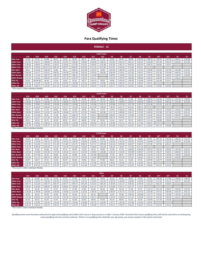

#### **FEMALE ‐ LC**

|                                                                                                                                                                                                                                                                                                                                              |            |            |            |            |            |            |            |                 | <b>12/14 Years</b> |                |         |           |                |                |         |         |         |                |
|----------------------------------------------------------------------------------------------------------------------------------------------------------------------------------------------------------------------------------------------------------------------------------------------------------------------------------------------|------------|------------|------------|------------|------------|------------|------------|-----------------|--------------------|----------------|---------|-----------|----------------|----------------|---------|---------|---------|----------------|
|                                                                                                                                                                                                                                                                                                                                              | <b>S19</b> | <b>S18</b> | <b>S16</b> | <b>S15</b> | <b>S14</b> | <b>S13</b> | <b>S12</b> | S <sub>11</sub> | <b>S10</b>         | S <sub>9</sub> | S8      | <b>S7</b> | S <sub>6</sub> | S <sub>5</sub> | $S4*$   | $S3*$   | S2'     | S <sub>1</sub> |
| 50 <sub>m</sub> Free                                                                                                                                                                                                                                                                                                                         | 52.03      | 57.23      | 54.98      | 48.11      | 52.03      | 49.24      | 48.71      | 55.60           | 51.18              | 52.82          | 56.35   | 58.08     | 1:03.26        | 1:08.35        | 1:20.47 | 1:41.58 | 2:08.47 | 2:18.68        |
| 100m Free                                                                                                                                                                                                                                                                                                                                    | 1:51.91    | 2:03.11    | 1:58.89    | 1:45.30    | 1:51.91    | 1:46.36    | 1:46.85    | 2:02.28         | 1:50.52            | 1:52.62        | 2:01.13 | 2:05.27   | 2:16.31        | 2:26.58        | 2:51.99 | 3:26.72 | 4:23.83 | 4:57.96        |
| 200m Free                                                                                                                                                                                                                                                                                                                                    | 3:26.02    | 3:46.63    | 3:56.85    | 3:24.67    | 3:26.02    | 3:27.00    | 3:22.07    | 3:43.05         | 3:22.98            | 3:41.60        | 3:45.73 | 4:04.59   | 4:05.29        | 5:09.10        | 5:58.83 | 7:18.37 |         |                |
| 9:05.20<br>8:28.75<br>8:06.05<br>8:13.58<br>8:14.35<br>9:50.21<br>8:28.75<br>9:19.63<br>10:55.73<br>8:14.59<br>9:17.18<br>8:43.84<br>9:14.60<br>400m Free<br>1:08.78<br>1:06.29<br>55.85<br>1:01.28<br>59.90<br>1:02.94<br>1:12.99<br>1:17.53<br>58.11<br>6:14.40<br>58.11<br>1:00.61<br>1:07.47<br>1:19.80<br>1:35.50<br>1:47.58<br>2:07.89 |            |            |            |            |            |            |            |                 |                    |                |         |           |                |                |         |         |         |                |
| 50m Back                                                                                                                                                                                                                                                                                                                                     |            |            |            |            |            |            |            |                 |                    |                |         |           |                |                |         |         |         | 2:15.37        |
| 100m Back                                                                                                                                                                                                                                                                                                                                    | 2:04.28    | 2:16.7     | 2:32.61    | 2:00.01    | 2:04.28    | 2:01.98    | 2:02.26    | 2:20.92         | 2:00.04            | 2:06.49        | 2:15.91 | 2:27.82   | 2:34.37        | 2:54.47        | 3:22.38 | 3:55.98 | 4:48.26 | 5:10.18        |
| <b>50m Breast</b>                                                                                                                                                                                                                                                                                                                            | 1:04.78    | 1:11.26    | 1:08.73    | 1:00.19    | 1:04.78    | 1:08.15    | 1:05.58    | 1:14.48         |                    | 1:09.07        | 1:10.83 | 1:22.42   | 1:23.67        | 1:25.95        | 1:38.55 | 1:46.41 | 2:18.45 | 3:19.08        |
| 100m Breast                                                                                                                                                                                                                                                                                                                                  | 2:27.10    | 2:41.81    | 2:38.44    | 2:13.67    | 2:27.10    | 2:20.79    | 2:19.44    | 2:41.21         |                    | 2:22.44        | 2:24.78 | 2:46.86   | 3:06.96        | 3:05.20        | 3:30.09 | 4:23.21 | 5:36.24 |                |
| 50m Fly                                                                                                                                                                                                                                                                                                                                      | 56.62      | 46:04.80   | 58.50      | 52.34      | 56.62      | 55.61      | 58.77      | 1:02.33         | 58.05              | 59.96          | 1:03.50 | 1:04.93   | 1:18.46        | 1:20.65        | 1:41.68 | 1:53.11 |         |                |
| 100m Fly                                                                                                                                                                                                                                                                                                                                     | 2:03.59    | 2:15.94    | 2:53.95    | 1:57.52    | 2:03.59    | 1:56.08    | 1:54.10    | 2:20.92         | 1:59.85            | 2:00.02        | 2:06.54 | 2:22.29   | 2:36.03        | 3:35.61        |         |         |         |                |
| 200m IM                                                                                                                                                                                                                                                                                                                                      | 4:22.48    | 4:48.73    | 5:15.05    | 4:21.14    | 4:22.48    | 4:20.62    | 4:23.74    | 5:00.54         | 4:23.96            | 4:26.77        | 4:43.56 | 5:03.96   | 5:28.81        | 5:58.58        | 5:34.82 | 6:34.84 |         |                |
| *This event is 150m Individual Medlev                                                                                                                                                                                                                                                                                                        |            |            |            |            |            |            |            |                 |                    |                |         |           |                |                |         |         |         |                |

**S19 S18 S16 S15 S14 S13 S12 S11 S10 S9 S8 S7 S6 S5 S4\* S3\* S2 S1 50m Free** 45.25 49.78 47.66 41.92 45.25 43.38 42.94 48.94 45.10 46.59 49.66 51.28 55.65 1:00.34 1:10.44 1:29.05 1:53.26 1:58.05 **100m Free** 1:38.49 1:48.34 1:43.00 1:31.76 1:38.49 1:33.75 1:34.13 1:47.62 1:37.37 1:39.47 1:46.84 1:50.57 2:00.04 2:09.43 2:30.81 3:00.16 3:53.38 4:23.83 **200m Free** 3:18.94 3:38.83 3:39.49 3:18.04 3:18.94 3:19.86 3:15.20 3:35.08 3:16.13 3:33.88 3:37.54 3:55.78 3:56.72 4:53.48 5:33.33 6:41.79 **400m Free** 7:52.77 8:40.04 9:49.89 8:10.34 7:52.77 7:31.96 7:39.61 8:37.89 7:38.93 7:40.35 8:07.37 8:35.81 9:08.70 **50m Back** 50.50 55.55 57.53 48.56 50.50 53.39 59.96 59.41 52.76 55.49 1:00.62 1:04.31 1:08.29 1:10.64 1:24.13 1:34.56 1:53.02 1:59.98 **100m Back** 1:49.48 2:00.43 2:11.81 1:44.30 1:49.48 1:47.35 1:47.65 2:04.01 1:45.90 1:51.72 2:00.06 2:10.17 2:15.95 2:34.03 2:57.84 3:27.34 4:12.02 4:32.41 **50m Breast** 56.22 1:01.84 59.61 52.38 56.22 1:00.13 57.75 1:05.41 1:00.67 1:02.35 1:12.69 1:13.63 1:15.82 1:26.54 1:33.85 2:02.69 2:56.53 **100m Breast** 2:09.51 2:22.47 2:17.28 1:56.36 2:09.51 2:04.12 2:02.85 2:18.61 2:05.75 2:07.92 2:27.17 2:34.76 2:43.79 3:04.81 3:53.39 4:57.53 **50m Fly** 49.31 54.24 50.71 45.50 49.31 49.27 48.59 57.46 50.41 51.42 54.37 56.73 1:00.74 1:11.16 1:28.90 1:39.50 **100m Fly** 1:49.82 2:00.81 2:28.63 1:42.39 1:49.82 1:42.08 1:40.64 2:03.94 1:45.41 1:45.80 1:51.32 2:05.25 2:17.04 3:09.63 **200m IM** 3:55.79 4:19.36 4:32.27 3:47.29 3:55.79 3:49.49 3:52.21 4:24.37 3:52.42 3:55.60 4:10.22 4:35.92 4:56.77 5:16.65 4:41.15 5:30.86 *\*This event is 150m Individual Medley* **15/16 Years**

|             |            |            |                 |            |            |            |            |                 | <b>17/18 Years</b> |                |         |           |                |                |         |         |                |                |
|-------------|------------|------------|-----------------|------------|------------|------------|------------|-----------------|--------------------|----------------|---------|-----------|----------------|----------------|---------|---------|----------------|----------------|
|             | <b>S19</b> | <b>S18</b> | S <sub>16</sub> | <b>S15</b> | <b>S14</b> | <b>S13</b> | <b>S12</b> | S <sub>11</sub> | <b>S10</b>         | S <sub>9</sub> | S8      | <b>S7</b> | S <sub>6</sub> | S <sub>5</sub> | $S4*$   | S3*     | S <sub>2</sub> | S <sub>1</sub> |
| 50m Free    | 42.20      | 46.42      | 44.47           | 39.08      | 42.20      | 41.21      | 40.79      | 46.48           | 42.85              | 44.26          | 47.17   | 48.72     | 52.86          | 57.78          | 1:07.37 | 1:25.18 | 1:48.14        | 1:52.75        |
| 100m Free   | 1:33.55    | 1:42.90    | 1:36.12         | 1:25.54    | 1:33.55    | 1:29.05    | 1:29.40    | 1:42.06         | 1:32.50            | 1:34.52        | 1:41.50 | 1:45.05   | 1:54.03        | 2:03.98        | 2:24.27 | 2:52.16 | 3:42.95        | 4:12.08        |
| 200m Free   | 3:11.85    | 3:31.04    | 3:22.13         | 3:11.40    | 3:11.85    | 3:12.71    | 3:08.32    | 3:27.11         | 3:09.28            | 3:26.16        | 3:29.36 | 3:46.97   | 3:48.15        | 4:37.86        | 5:07.83 | 6:05.21 |                |                |
| 400m Free   | 7:16.78    | 8:00.46    | 8:44.06         | 7:15.47    | 7:16.78    | 6:57.86    | 7:04.63    | 7:58.60         | 7:04.28            | 7:06.35        | 7:30.91 | 7:57.02   | 8:27.19        |                |         |         |                |                |
| 50m Back    | 47.11      | 51.82      | 53.66           | 45.29      | 47.11      | 50.49      | 51.03      | 56.19           | 49.90              | 52.48          | 57.33   | 1:00.82   | 1:04.58        | 1:07.50        | 1:20.33 | 1:30.25 | 1:47.56        | 1:54.22        |
| 100m Back   | 1:44.18    | 1:54.60    | 2:03.06         | 1:37.28    | 1:44.18    | 1:42.14    | 1:42.44    | 1:58.00         | 1:40.80            | 1:46.35        | 1:54.29 | 2:03.88   | 2:09.37        | 2:27.69        | 2:50.37 | 3:18.91 | 4:00.64        | 4:20.31        |
| 50m Breast  | 52.44      | 0:57.68    | 55.62           | 48.83      | 52.44      | 56.88      | 54.62      | 1:01.86         |                    | 57.38          | 58.97   | 1:08.76   | 1:09.62        | 1:12.39        | 1:22.57 | 1:29.60 | 1:56.84        | 2:49.20        |
| 100m Breast | 2:02.84    | 2:15.13    | 2:08.10         | 1:48.50    | 2:02.84    | 1:57.74    | 1:56.53    | 2:14.60         |                    | 1:59.30        | 2:01.36 | 2:19.61   | 2:26.81        | 2:36.78        | 2:56.73 | 3:43.50 | 4:43.90        |                |
| 50m Fly     | 45.97      | 50.57      | 47.31           | 42.44      | 45.97      | 46.58      | 45.96      | 54.32           | 47.66              | 48.61          | 51.41   | 53.64     | 57.42          | 1:07.95        | 1:24.77 | 1:34.96 |                |                |
| 100m Fly    | 1:43.44    | 1:53.78    | 2:19.01         | 1:35.45    | 1:43.44    | 1:37.07    | 1:35.73    | 1:57.86         | 1:40.23            | 1:40.62        | 1:45.86 | 1:59.11   | 2:10.30        | 3:01.65        |         |         |                |                |
| 200m IM     | 3:44.77    | 4:07.25    | 4:14.17         | 3:31.92    | 3:44.77    | 3:38.79    | 4:14.38    | 4:12.02         | 3:41.58            | 3:44.70        | 3:58.62 | 4:16.03   | 4:35.60        | 5:04.00        | 4:41.67 | 5:30.25 |                |                |
|             |            |            |                 |            |            |            |            |                 |                    |                |         |           |                |                |         |         |                |                |

*\*This event is 150m Individual Medley*

|                      |            |            |                 |            |            |            |            |                 | Open    |                |         |           |           |         |         |         |           |                |
|----------------------|------------|------------|-----------------|------------|------------|------------|------------|-----------------|---------|----------------|---------|-----------|-----------|---------|---------|---------|-----------|----------------|
|                      | <b>S19</b> | <b>S18</b> | S <sub>16</sub> | <b>S15</b> | <b>S14</b> | <b>S13</b> | <b>S12</b> | S <sub>11</sub> | S10     | S <sub>9</sub> | S8      | <b>S7</b> | <b>S6</b> | S5      | $S4*$   | $S3*$   | <b>S2</b> | S <sub>1</sub> |
| 50 <sub>m</sub> Free | 37.35      | 41.08      | 37.35           | 37.35      | 37.35      | 37.92      | 37.75      | 42.24           | 39.61   | 41.32          | 43.62   | 46.01     | 47.85     | 57.26   | 1:00.40 | 1:17.66 | 1:38.66   | 1:48.91        |
| 100m Free            | 1:25.03    | 1:33.53    | 1:25.03         | 1:25.03    | 1:25.03    | 1:22.42    | 1:22.15    | 1:32.69         | 1:25.22 | 1:29.76        | 1:34.84 | 1:38.85   | 1:44.59   | 2:03.38 | 2:11.92 | 2:25.21 | 3:31.57   | 4:01.95        |
| 200m Free            | 3:04.77    | 3:23.24    | 3:04.77         | 3:04.77    | 3:04.77    | 3:05.57    | 3:01.44    | 3:19.14         | 3:02.43 | 3:18.44        | 3:21.17 | 3:38.16   | 3:39.58   | 4:22.24 | 4:42.33 | 5:28.63 |           |                |
| 400m Free            | 6:08.95    | 6:45.85    | 6:08.95         | 6:08.95    | 6:08.95    | 5:59.85    | 5:58.60    | 6:47.21         | 6:04.76 | 6:23.80        | 6:35.13 | 6:53.73   | 7:14.25   |         |         |         |           |                |
| 50m Back             | 41.31      | 45.44      | 41.31           | 41.31      | 41.31      | 47.48      | 47.83      | 52.66           | 46.92   | 49.81          | 54.18   | 57.38     | 57.37     | 1:12.13 | 1:21.14 | 1:28.47 | 1:43.04   | 1:53.10        |
| 100m Back            | 1:34.60    | 1:44.06    | 1:34.60         | 1:34.60    | 1:34.60    | 1:31.99    | 1:32.91    | 1:46.34         | 1:33.57 | 1:40.07        | 1:47.72 | 1:52.54   | 1:57.55   | 2:24.38 | 2:37.53 | 3:06.38 | 3:16.54   | 3:45.21        |
| <b>50m Breast</b>    | 45.05      | 49.55      | 45.05           | 45.05      | 45.05      | 54.56      | 51.17      | 56.10           |         | 52.05          | 54.98   | 1:04.42   | 1:03.08   | 1:13.77 | 1:19.61 | 1:31.09 | 1:55.64   | 2:47.34        |
| 100m Breast          | 1:53.30    | 2:04.63    | 1:53.30         | 1:53.30    | 1:53.30    | 1:50.13    | 1:48.20    | 2:03.73         |         | 1:53.55        | 1:56.60 | 2:11.31   | 2:18.38   | 2:41.03 | 2:50.39 | 3:56.28 | 4:32.33   |                |
| 50m Fly              | 41.47      | 45.62      | 41.47           | 41.47      | 41.47      | 43.68      | 43.04      | 49.60           | 43.92   | 45.24          | 48.06   | 51.25     | 52.36     | 1:10.06 | 1:17.94 | 1:34.28 |           |                |
| 100m Fly             | 1:33.50    | 1:42.85    | 1:33.50         | 1:33.50    | 1:33.50    | 1:26.94    | 1:28.89    | 1:45.75         | 1:29.84 | 1:32.77        | 1:35.28 | 1:47.98   | 1:54.93   | 2:50.81 |         |         |           |                |
| 200m IM              | 3:20.22    | 3:40.24    | 3:20.22         | 3:20.22    | 3:20.22    | 3:16.79    | 3:18.81    | 3:43.89         | 3:19.14 | 3:29.13        | 3:39.93 | 3:58.30   | 4:03.63   | 4:53.36 | 4:50.55 | 5:20.22 |           |                |

*\*This event is 150m Individual Medley*

Qualifying times must have been achieved at an approved qualifying meet (either short course or long course) on or after 1 January 2020. Converted short course qualifying times will only be used where an existing long course qualifying time has not been achieved. If there is no qualifying time stated for your age group, you cannot compete in the event/s concerned.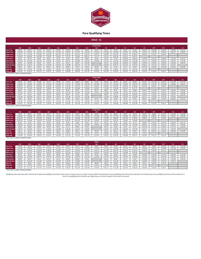

|                                                 |                 |            |         |            |            |            |            |                 | <b>MALE - SC</b>   |         |         |           |                |         |         |         |           |                |
|-------------------------------------------------|-----------------|------------|---------|------------|------------|------------|------------|-----------------|--------------------|---------|---------|-----------|----------------|---------|---------|---------|-----------|----------------|
|                                                 |                 |            |         |            |            |            |            |                 | <b>12/14 Years</b> |         |         |           |                |         |         |         |           |                |
|                                                 | S <sub>19</sub> | <b>S18</b> | S16     | <b>S15</b> | <b>S14</b> | <b>S13</b> | <b>S12</b> | S <sub>11</sub> | <b>S10</b>         | S9      | S8      | <b>S7</b> | S <sub>6</sub> | S5      | $S4*$   | $S3*$   | <b>S2</b> | S <sub>1</sub> |
| 50m Free                                        | 44.84           | 49.33      | 45.14   | 43.33      | 45.76      | 42.58      | 41.69      | 46.34           | 42.59              | 45.75   | 47.65   | 50.03     | 53.31          | 1:00.16 | 1:09.40 | 1:19.52 | 1:49.99   | 2:01.01        |
| 100m Free                                       | 1:35.96         | 1:45.55    | 1:41.78 | 1:35.26    | 1:37.92    | 1:34.01    | 1:31.81    | 1:42.22         | 1:32.63            | 1:39.48 | 1:43.78 | 1:49.37   | 1:57.65        | 2:10.42 | 2:31.80 | 2:56.33 | 4:00.37   | 4:18.63        |
| 200m Free                                       | 2:58.11         | 3:15.92    | 3:24.80 | 3:01.64    | 3:01.75    | 2:58.23    | 2:51.61    | 3:20.27         | 2:59.75            | 3:09.89 | 3:21.49 | 3:36.22   | 3:46.81        | 4:36.34 | 5:24.52 | 6:08.46 |           |                |
| 400m Free                                       | 7:40.04         | 8:26.04    | 9:43.48 | 7:56.78    | 7:49.43    | 7:22.73    | 7:28.43    | 8:04.37         | 7:21.71            | 7:45.33 | 8:03.18 | 8:39.72   | 8:54.73        |         |         |         |           |                |
| 50m Back                                        | 53.42           | 58.76      | 56.95   | 49.81      | 54.51      | 52.26      | 52.64      | 58.83           | 52.46              | 55.40   | 57.38   | 1:04.04   | 1:06.63        | 1:10.28 | 1:23.35 | 1:28.44 | 1:57.00   | 2:25.23        |
| 100m Back                                       | 1:50.76         | 2:01.84    | 2:02.25 | 1:46.73    | 1:53.02    | 1:45.15    | 1:44.86    | 1:54.54         | 1:48.36            | 1:51.73 | 1:57.65 | 2:07.66   | 2:13.28        | 2:31.12 | 3:01.90 | 3:25.07 | 3:59.05   | 5:12.08        |
| <b>50m Breast</b>                               | 54.59           | 1:00.04    | 58.12   | 52.85      | 55.70      | 56.51      | 58.65      | 1:02.33         |                    | 55.24   | 1:00.36 | 1:08.52   | 1:08.67        | 1:19.92 | 1:24.95 | 1:30.95 | 1:43.48   | 2:48.44        |
| 100m Breast                                     | 2:00.34         | 2:12.37    | 2:10.09 | 1:50.38    | 2:02.79    | 1:58.98    | 2:02.45    | 2:11.79         |                    | 2:01.92 | 2:05.71 | 2:27.16   | 2:32.54        | 2:54.11 | 3:01.34 | 3:30.32 | 4:12.22   |                |
| 50m Fly                                         | 48.20           | 53.02      | 50.45   | 45.61      | 49.18      | 48.66      | 47.57      | 50.39           | 46.89              | 49.95   | 51.52   | 55.73     | 56.57          | 1:05.78 | 1:18.25 | 1:45.28 | 2:26.42   | 3:48.48        |
| 100m Fly                                        | 1:43.05         | 1:53.36    | 1:52.96 | 1:39.16    | 1:45.15    | 1:39.59    | 1:39.54    | 1:47.65         | 1:39.43            | 1:44.85 | 1:46.41 | 2:04.71   | 2:07.05        | 2:21.48 |         |         |           |                |
| 200m IM                                         | 3:54.63         | 4:18.10    | 4:32.75 | 3:45.72    | 3:59.42    | 3:49.98    | 3:48.79    | 4:11.45         | 3:50.62            | 3:57.66 | 4:10.01 | 4:33.50   | 4:46.34        | 5:20.44 | 5:19.70 | 6:04.27 |           |                |
| <b>SThis property of COpe Individual Modion</b> |                 |            |         |            |            |            |            |                 |                    |         |         |           |                |         |         |         |           |                |

*\*This event is 150m Individual Medley*

|                      |                 |            |                 |            |            |            |            |            | <b>15/16 Years</b> |         |         |           |                |         |         |         |                |                |
|----------------------|-----------------|------------|-----------------|------------|------------|------------|------------|------------|--------------------|---------|---------|-----------|----------------|---------|---------|---------|----------------|----------------|
|                      | S <sub>19</sub> | <b>S18</b> | S <sub>16</sub> | <b>S15</b> | <b>S14</b> | <b>S13</b> | <b>S12</b> | <b>S11</b> | <b>S10</b>         | S9      | S8      | <b>S7</b> | S <sub>6</sub> | S5'     | $S4*$   | S3*     | S <sub>2</sub> | S <sub>1</sub> |
| 50 <sub>m</sub> Free | 39.00           | 42.90      | 39.08           | 37.71      | 39.80      | 37.54      | 36.80      | 40.85      | 37.66              | 40.36   | 42.03   | 44.15     | 46.99          | 53.02   | 1:01.18 | 1:10.17 | 1:37.39        | 1:47.44        |
| 100m Free            | 1:24.48         | 1:32.93    | 1:28.02         | 1:22.95    | 1:26.20    | 1:22.75    | 1:20.99    | 1:30.18    | 1:21.80            | 1:27.74 | 1:31.54 | 1:36.54   | 1:43.75        | 1:55.03 | 2:13.78 | 2:35.68 | 3:33.00        | 3:49.11        |
| 200m Free            | 2:50.55         | 3:07.61    | 3:09.40         | 2:53.96    | 2:54.03    | 2:51.94    | 2:50.75    | 3:14.11    | 2:53.97            | 3:03.87 | 3:14.76 | 3:29.03   | 3:39.92        | 4:22.94 | 5:06.21 | 5:46.04 |                |                |
| 400m Free            | 7:07.60         | 7:50.36    | 8:44.99         | 7:08.80    | 7:16.33    | 6:51.46    | 6:56.86    | 7:30.82    | 6:50.67            | 7:12.64 | 7:29.30 | 8:03.19   | 8:17.71        |         |         |         |                |                |
| 50m Back             | 46.43           | 51.08      | 49.35           | 43.33      | 47.38      | 45.91      | 46.35      | 51.79      | 46.22              | 48.87   | 50.61   | 56.39     | 58.86          | 1:02.13 | 1:13.50 | 1:18.15 | 1:43.43        | 2:07.89        |
| 100m Back            | 1:37.52         | 1:47.27    | 1:45.86         | 1:32.80    | 1:39.51    | 1:32.50    | 1:32.29    | 1:45.69    | 1:35.51            | 1:38.59 | 1:43.88 | 1:52.41   | 1:57.57        | 2:14.11 | 2:40.54 | 2:59.73 | 3:29.82        | 4:30.88        |
| 50m Breast           | 47.57           | 52.33      | 50.30           | 45.14      | 48.54      | 49.72      | 51.54      | 54.82      |                    | 48.86   | 53.13   | 1:00.23   | 1:00.33        | 1:10.35 | 1:14.53 | 1:19.99 | 1:31.47        | 2:29.18        |
| 100m Breast          | 1:54.18         | 2:05.59    | 1:52.71         | 1:36.19    | 1:56.51    | 1:53.36    | 1:54.79    | 2:05.56    |                    | 1:56.30 | 1:58.80 | 2:19.24   | 2:25.80        | 2:41.77 | 2:50.99 | 3:37.44 | 4:15.85        |                |
| 50m Fly              | 41.86           | 46.04      | 43.52           | 39.74      | 42.71      | 42.80      | 41.83      | 44.28      | 41.35              | 44.02   | 45.46   | 49.19     | 49.91          | 58.03   | 1:08.74 | 1:32.41 | 2:08.23        | 3:23.15        |
| 100m Fly             | 1:31.36         | 1:40.50    | 1:37.48         | 1:26.41    | 1:33.23    | 1:27.58    | 1:27.59    | 1:34.80    | 1:27.65            | 1:32.37 | 1:33.71 | 1:50.29   | 1:51.96        | 2:04.27 |         |         |                |                |
| 200m IM              | 3:26.37         | 3:47.00    | 3:55.20         | 3:16.76    | 3:30.58    | 3:22.42    | 3:21.38    | 3:41.54    | 3:23.15            | 3:29.65 | 3:40.48 | 4:00.88   | 4:12.38        | 4:36.48 | 4:12.04 | 4:54.11 |                |                |

*\*This event is 150m Individual Medley*

|                   |              |            |         |            |            |            |            |                 | <b>17/18 Years</b> |                |         |           |                |           |         |         |                |                |
|-------------------|--------------|------------|---------|------------|------------|------------|------------|-----------------|--------------------|----------------|---------|-----------|----------------|-----------|---------|---------|----------------|----------------|
|                   | S19          | <b>S18</b> | S16     | <b>S15</b> | <b>S14</b> | <b>S13</b> | <b>S12</b> | S <sub>11</sub> | <b>S10</b>         | S <sub>9</sub> | S8      | <b>S7</b> | S <sub>6</sub> | <b>S5</b> | $S4*$   | S3*     | S <sub>2</sub> | S <sub>1</sub> |
| 50m Free          | 36.39        | 40.03      | 36.46   | 35.17      | 37.13      | 35.73      | 35.04      | 38.90           | 35.85              | 38.43          | 40.01   | 42.04     | 44.73          | 50.83     | 58.66   | 1:07.27 | 1:33.20        | 1:42.86        |
| 100m Free         | 1:20.40      | 1:28.44    | 1:22.15 | 1:17.34    | 1:22.04    | 1:18.77    | 1:17.10    | 1:25.85         | 1:17.89            | 1:23.53        | 1:27.15 | 1:31.92   | 1:38.77        | 1:50.30   | 2:08.25 | 2:29.31 | 3:23.87        | 3:39.29        |
| 200m Free         | 2:42.99      | 2:59.29    | 2:54.00 | 2:46.28    | 2:46.31    | 2:45.66    | 2:49.89    | 3:07.95         | 2:48.19            | 2:57.84        | 3:08.02 | 3:21.84   | 3:33.02        | 4:09.55   | 4:47.91 | 5:23.62 |                |                |
| 400m Free         | 6:35.16      | 7:14.68    | 7:46.50 | 6:20.82    | 6:43.23    | 6:20.19    | 6:25.29    | 6:57.28         | 6:19.63            | 6:39.95        | 6:55.41 | 7:26.66   | 7:40.69        |           |         |         |                |                |
| 50m Back          | 43.32        | 47.65      | 46.05   | 40.40      | 44.20      | 43.46      | 43.87      | 49.02           | 43.75              | 46.26          | 47.91   | 53.38     | 55.73          | 59.38     | 1:10.23 | 1:14.70 | 1:38.52        | 2:01.76        |
| 100m Back         | 1:32.82      | 1:42.10    | 1:38.79 | 1:26.54    | 1:34.72    | 1:28.03    | 1:27.79    | 1:40.60         | 1:30.92            | 1:33.86        | 1:38.91 | 1:47.00   | 1:51.92        | 2:08.74   | 2:33.96 | 2:52.13 | 3:20.52        | 4:19.94        |
| <b>50m Breast</b> | 44.36        | 48.80      | 46.94   | 42.09      | 45.27      | 47.11      | 48.83      | 51.95           |                    | 46.32          | 50.35   | 57.07     | 57.17          | 1:07.24   | 1:11.20 | 1:16.46 | 1:27.21        | 2:22.26        |
| 100m Breast       | 1:40.74      | 1:50.82    | 1:45.17 | 1:29.67    | 1:42.80    | 1:39.56    | 1:42.31    | 1:50.47         |                    | 1:42.07        | 1:45.42 | 2:02.83   | 2:07.26        | 2:26.77   | 2:32.63 | 2:57.19 | 3:33.48        |                |
| 50m Fly           | 39.11        | 43.02      | 40.64   | 37.04      | 39.91      | 40.60      | 39.67      | 42.00           | 39.24              | 41.76          | 43.13   | 46.64     | 47.35          | 55.52     | 1:05.73 | 1:28.35 | 2:02.26        | 3:14.00        |
| 100m Fly          | 1:26.39      | 1:35.02    | 1:31.45 | 1:20.55    | 1:28.15    | 1:23.47    | 1:23.50    | 1:30.38         | 1:23.57            | 1:28.07        | 1:29.34 | 1:45.20   | 1:46.74        | 1:59.16   |         |         |                |                |
| 200m IM<br>----   | 3:16.90<br>. | 3:36.59    | 3:39.63 | 3:03.41    | 3:20.92    | 3:13.16    | 3:12.16    | 3:31.43         | 3:13.87            | 3:20.12        | 3:30.45 | 3:49.88   | 4:00.77        | 4:32.84   | 4:01.13 | 4:41.34 |                |                |

*\*This event is 150m Individual Medley*

|                   |                 |            |            |            |            |         |            |            | Open       |         |         |           |                |         |         |         |           |                |
|-------------------|-----------------|------------|------------|------------|------------|---------|------------|------------|------------|---------|---------|-----------|----------------|---------|---------|---------|-----------|----------------|
|                   | S <sub>19</sub> | <b>S18</b> | <b>S16</b> | <b>S15</b> | <b>S14</b> | S13     | <b>S12</b> | <b>S11</b> | <b>S10</b> | S9      | S8      | <b>S7</b> | S <sub>6</sub> | S5      | $S4*$   | $S3*$   | <b>S2</b> | S <sub>1</sub> |
| 50m Free          | 32.49           | 35.74      | 33.15      | 33.15      | 33.15      | 32.87   | 32.71      | 35.83      | 33.62      | 35.67   | 37.04   | 39.11     | 41.05          | 48.47   | 56.30   | 1:05.35 | 1:28.72   | 1:40.78        |
| 100m Free         | 1:12.66         | 1:19.92    | 1:14.14    | 1:14.14    | 1:14.14    | 1:11.15 | 1:11.47    | 1:19.60    | 1:13.10    | 1:17.18 | 1:20.64 | 1:25.76   | 1:31.16        | 1:46.44 | 2:02.52 | 2:25.80 | 3:15.68   | 3:29.80        |
| 200m Free         | 2:35.43         | 2:50.97    | 2:38.60    | 2:38.60    | 2:38.60    | 2:39.37 | 2:49.03    | 3:01.80    | 2:42.41    | 2:51.81 | 3:01.29 | 3:14.65   | 3:26.12        | 3:56.16 | 4:29.60 | 5:01.20 |           |                |
| 400m Free         | 5:37.34         | 6:11.07    | 5:44.22    | 5:44.22    | 5:44.22    | 5:23.24 | 5:30.12    | 6:11.21    | 5:26.53    | 5:44.44 | 5:59.16 | 6:24.08   | 6:50.18        |         |         |         |           |                |
| 50m Back          | 38.14           | 41.95      | 38.92      | 38.92      | 38.92      | 39.37   | 40.89      | 45.53      | 41.02      | 44.09   | 45.53   | 49.72     | 53.98          | 1:01.82 | 1:11.04 | 1:17.37 | 1:34.36   | 1:51.46        |
| 100m Back         | 1:24.02         | 1:32.42    | 1:25.73    | 1:25.73    | 1:25.73    | 1:18.79 | 1:19.19    | 1:31.10    | 1:23.42    | 1:27.19 | 1:32.72 | 1:37.07   | 1:43.60        | 2:13.02 | 2:29.72 | 2:33.78 | 2:52.14   | 3:26.24        |
| <b>50m Breast</b> | 40.48           | 44.53      | 41.31      | 41.31      | 41.31      | 43.24   | 44.08      | 47.51      |            | 45.24   | 46.50   | 51.71     | 51.47          | 1:05.90 | 1:06.88 | 1:14.10 | 1:22.96   | 2:18.34        |
| 100m Breast       | 1:35.69         | 1:45.26    | 1:37.65    | 1:37.65    | 1:37.65    | 1:34.07 | 1:34.96    | 1:46.30    |            | 1:36.94 | 1:41.93 | 1:52.72   | 1:56.19        | 2:24.82 | 2:28.24 | 2:53.73 | 3:30.10   |                |
| 50m Fly           | 34.96           | 38.46      | 35.67      | 35.67      | 35.67      | 36.89   | 35.88      | 37.74      | 36.88      | 38.93   | 40.69   | 43.92     | 44.67          | 55.25   | 1:02.19 | 1:22.73 |           |                |
| 100m Fly          | 1:16.54         | 1:24.19    | 1:18.10    | 1:18.10    | 1:18.10    | 1:13.84 | 1:14.51    | 1:21.42    | 1:16.14    | 1:19.68 | 1:20.42 | 1:39.48   | 1:36.87        | 1:47.93 |         |         |           |                |
| 200m IM           | 2:53.81         | 3:11.19    | 2:57.35    | 2:57.35    | 2:57.35    | 2:52.04 | 2:51.24    | 3:10.49    | 2:54.34    | 3:03.11 | 3:11.86 | 3:26.34   | 3:38.16        | 4:30.64 | 3:52.65 | 4:29.31 |           |                |

*\*This event is 150m Individual Medley*

Qualifying times must have been achieved at an approved qualifying meet (either short course or long course) on or after 1 January 2020. Converted short course qualifying times will only be used where an existing long cour